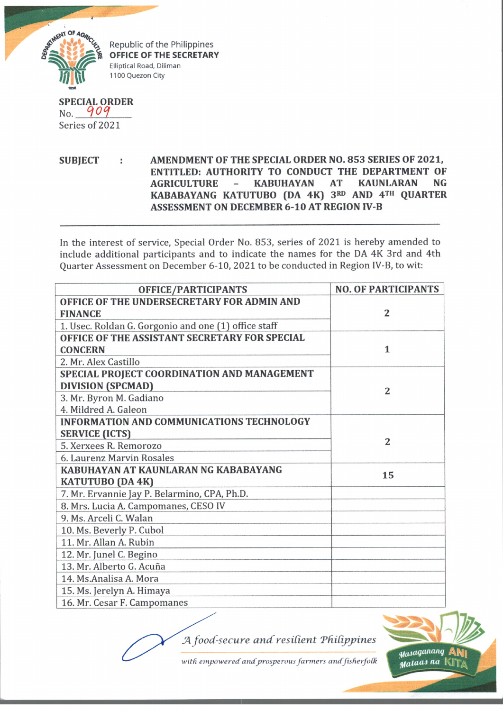

Republic of the Philippines **OFFICE OF THE SECRETARY** Elliptical Road, Diliman 1100 Quezon City

**SPECIAL ORDER**  $No. 909$ Series of 2021

**SUBJECT : AMENDMENT OF THE SPECIAL ORDER NO. 853 SERIES OF 2021, ENTITLED: AUTHORITY TO CONDUCT THE DEPARTMENT OF AGRICULTURE - KABUHAYAN AT KAUNLARAN NG KABABAYANG KATUTUBO (DA 4K) 3rd AND 4th QUARTER ASSESSMENT ON DECEMBER 6-10 AT REGION IV-B**

In the interest of service, Special Order No. 853, series of 2021 is hereby amended to include additional participants and to indicate the names for the DA 4K 3rd and 4th Quarter Assessment on December 6-10, 2021 to be conducted in Region IV-B, to wit:

| OFFICE/PARTICIPANTS                                  | <b>NO. OF PARTICIPANTS</b> |
|------------------------------------------------------|----------------------------|
| OFFICE OF THE UNDERSECRETARY FOR ADMIN AND           | $\overline{2}$             |
| <b>FINANCE</b>                                       |                            |
| 1. Usec. Roldan G. Gorgonio and one (1) office staff |                            |
| OFFICE OF THE ASSISTANT SECRETARY FOR SPECIAL        | $\mathbf{1}$               |
| <b>CONCERN</b>                                       |                            |
| 2. Mr. Alex Castillo                                 |                            |
| SPECIAL PROJECT COORDINATION AND MANAGEMENT          | $\overline{2}$             |
| <b>DIVISION (SPCMAD)</b>                             |                            |
| 3. Mr. Byron M. Gadiano                              |                            |
| 4. Mildred A. Galeon                                 |                            |
| INFORMATION AND COMMUNICATIONS TECHNOLOGY            | $\overline{2}$             |
| <b>SERVICE (ICTS)</b>                                |                            |
| 5. Xerxees R. Remorozo                               |                            |
| 6. Laurenz Marvin Rosales                            |                            |
| KABUHAYAN AT KAUNLARAN NG KABABAYANG                 | 15                         |
| <b>KATUTUBO (DA 4K)</b>                              |                            |
| 7. Mr. Ervannie Jay P. Belarmino, CPA, Ph.D.         |                            |
| 8. Mrs. Lucia A. Campomanes, CESO IV                 |                            |
| 9. Ms. Arceli C. Walan                               |                            |
| 10. Ms. Beverly P. Cubol                             |                            |
| 11. Mr. Allan A. Rubin                               |                            |
| 12. Mr. Junel C. Begino                              |                            |
| 13. Mr. Alberto G. Acuña                             |                            |
| 14. Ms.Analisa A. Mora                               |                            |
| 15. Ms. Jerelyn A. Himaya                            |                            |
| 16. Mr. Cesar F. Campomanes                          |                            |

*JA food-secure ancf resident 'Philippines*



with empowered and prosperous farmers and fisherfolk